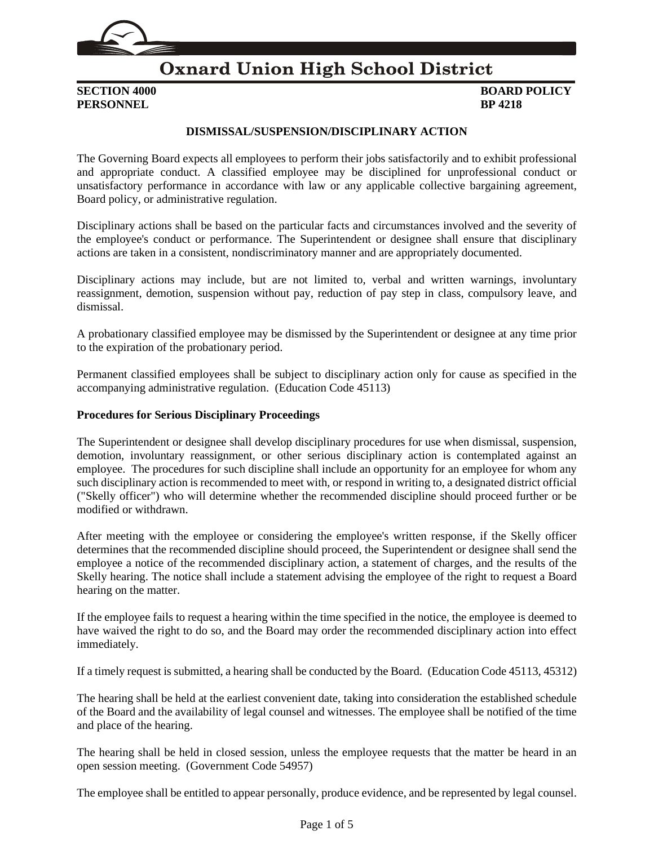

# **Oxnard Union High School District**

**PERSONNEL BP 4218**

# **SECTION 4000 BOARD POLICY**

#### **DISMISSAL/SUSPENSION/DISCIPLINARY ACTION**

The Governing Board expects all employees to perform their jobs satisfactorily and to exhibit professional and appropriate conduct. A classified employee may be disciplined for unprofessional conduct or unsatisfactory performance in accordance with law or any applicable collective bargaining agreement, Board policy, or administrative regulation.

Disciplinary actions shall be based on the particular facts and circumstances involved and the severity of the employee's conduct or performance. The Superintendent or designee shall ensure that disciplinary actions are taken in a consistent, nondiscriminatory manner and are appropriately documented.

Disciplinary actions may include, but are not limited to, verbal and written warnings, involuntary reassignment, demotion, suspension without pay, reduction of pay step in class, compulsory leave, and dismissal.

A probationary classified employee may be dismissed by the Superintendent or designee at any time prior to the expiration of the probationary period.

Permanent classified employees shall be subject to disciplinary action only for cause as specified in the accompanying administrative regulation. (Education Code 45113)

#### **Procedures for Serious Disciplinary Proceedings**

The Superintendent or designee shall develop disciplinary procedures for use when dismissal, suspension, demotion, involuntary reassignment, or other serious disciplinary action is contemplated against an employee. The procedures for such discipline shall include an opportunity for an employee for whom any such disciplinary action is recommended to meet with, or respond in writing to, a designated district official ("Skelly officer") who will determine whether the recommended discipline should proceed further or be modified or withdrawn.

After meeting with the employee or considering the employee's written response, if the Skelly officer determines that the recommended discipline should proceed, the Superintendent or designee shall send the employee a notice of the recommended disciplinary action, a statement of charges, and the results of the Skelly hearing. The notice shall include a statement advising the employee of the right to request a Board hearing on the matter.

If the employee fails to request a hearing within the time specified in the notice, the employee is deemed to have waived the right to do so, and the Board may order the recommended disciplinary action into effect immediately.

If a timely request is submitted, a hearing shall be conducted by the Board. (Education Code 45113, 45312)

The hearing shall be held at the earliest convenient date, taking into consideration the established schedule of the Board and the availability of legal counsel and witnesses. The employee shall be notified of the time and place of the hearing.

The hearing shall be held in closed session, unless the employee requests that the matter be heard in an open session meeting. (Government Code 54957)

The employee shall be entitled to appear personally, produce evidence, and be represented by legal counsel.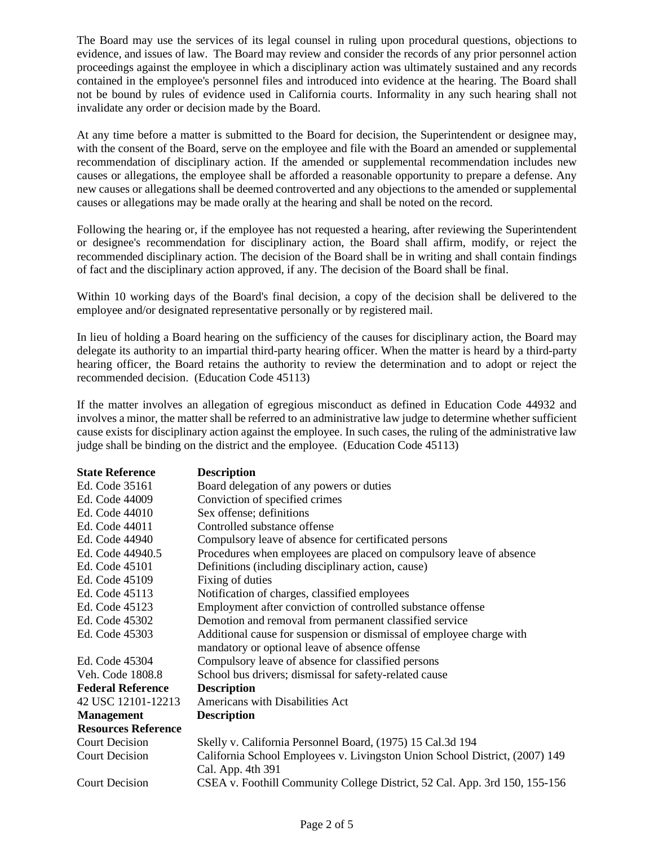The Board may use the services of its legal counsel in ruling upon procedural questions, objections to evidence, and issues of law. The Board may review and consider the records of any prior personnel action proceedings against the employee in which a disciplinary action was ultimately sustained and any records contained in the employee's personnel files and introduced into evidence at the hearing. The Board shall not be bound by rules of evidence used in California courts. Informality in any such hearing shall not invalidate any order or decision made by the Board.

At any time before a matter is submitted to the Board for decision, the Superintendent or designee may, with the consent of the Board, serve on the employee and file with the Board an amended or supplemental recommendation of disciplinary action. If the amended or supplemental recommendation includes new causes or allegations, the employee shall be afforded a reasonable opportunity to prepare a defense. Any new causes or allegations shall be deemed controverted and any objections to the amended or supplemental causes or allegations may be made orally at the hearing and shall be noted on the record.

Following the hearing or, if the employee has not requested a hearing, after reviewing the Superintendent or designee's recommendation for disciplinary action, the Board shall affirm, modify, or reject the recommended disciplinary action. The decision of the Board shall be in writing and shall contain findings of fact and the disciplinary action approved, if any. The decision of the Board shall be final.

Within 10 working days of the Board's final decision, a copy of the decision shall be delivered to the employee and/or designated representative personally or by registered mail.

In lieu of holding a Board hearing on the sufficiency of the causes for disciplinary action, the Board may delegate its authority to an impartial third-party hearing officer. When the matter is heard by a third-party hearing officer, the Board retains the authority to review the determination and to adopt or reject the recommended decision. (Education Code 45113)

If the matter involves an allegation of egregious misconduct as defined in Education Code 44932 and involves a minor, the matter shall be referred to an administrative law judge to determine whether sufficient cause exists for disciplinary action against the employee. In such cases, the ruling of the administrative law judge shall be binding on the district and the employee. (Education Code 45113)

| <b>State Reference</b>     | <b>Description</b>                                                          |
|----------------------------|-----------------------------------------------------------------------------|
| Ed. Code 35161             | Board delegation of any powers or duties                                    |
| Ed. Code 44009             | Conviction of specified crimes                                              |
| Ed. Code 44010             | Sex offense; definitions                                                    |
| Ed. Code 44011             | Controlled substance offense                                                |
| Ed. Code 44940             | Compulsory leave of absence for certificated persons                        |
| Ed. Code 44940.5           | Procedures when employees are placed on compulsory leave of absence         |
| Ed. Code 45101             | Definitions (including disciplinary action, cause)                          |
| Ed. Code 45109             | Fixing of duties                                                            |
| Ed. Code 45113             | Notification of charges, classified employees                               |
| Ed. Code 45123             | Employment after conviction of controlled substance offense                 |
| Ed. Code 45302             | Demotion and removal from permanent classified service                      |
| Ed. Code 45303             | Additional cause for suspension or dismissal of employee charge with        |
|                            | mandatory or optional leave of absence offense                              |
| Ed. Code 45304             | Compulsory leave of absence for classified persons                          |
| Veh. Code 1808.8           | School bus drivers; dismissal for safety-related cause                      |
| <b>Federal Reference</b>   | <b>Description</b>                                                          |
| 42 USC 12101-12213         | Americans with Disabilities Act                                             |
| <b>Management</b>          | <b>Description</b>                                                          |
| <b>Resources Reference</b> |                                                                             |
| <b>Court Decision</b>      | Skelly v. California Personnel Board, (1975) 15 Cal.3d 194                  |
| <b>Court Decision</b>      | California School Employees v. Livingston Union School District, (2007) 149 |
|                            | Cal. App. 4th 391                                                           |
| <b>Court Decision</b>      | CSEA v. Foothill Community College District, 52 Cal. App. 3rd 150, 155-156  |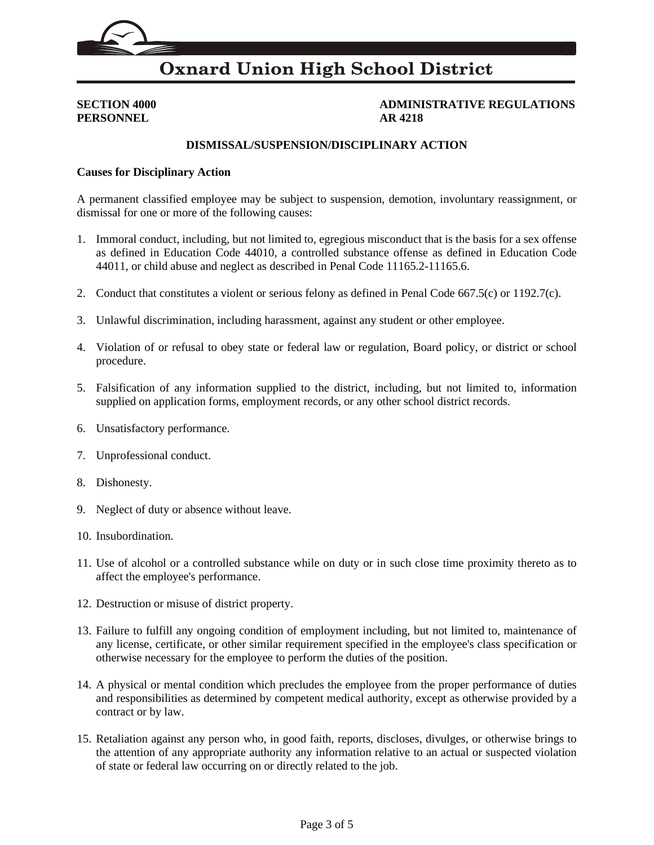

# **Oxnard Union High School District**

**PERSONNEL AR 4218**

**SECTION 4000 ADMINISTRATIVE REGULATIONS**

#### **DISMISSAL/SUSPENSION/DISCIPLINARY ACTION**

#### **Causes for Disciplinary Action**

A permanent classified employee may be subject to suspension, demotion, involuntary reassignment, or dismissal for one or more of the following causes:

- 1. Immoral conduct, including, but not limited to, egregious misconduct that is the basis for a sex offense as defined in Education Code 44010, a controlled substance offense as defined in Education Code 44011, or child abuse and neglect as described in Penal Code 11165.2-11165.6.
- 2. Conduct that constitutes a violent or serious felony as defined in Penal Code 667.5(c) or 1192.7(c).
- 3. Unlawful discrimination, including harassment, against any student or other employee.
- 4. Violation of or refusal to obey state or federal law or regulation, Board policy, or district or school procedure.
- 5. Falsification of any information supplied to the district, including, but not limited to, information supplied on application forms, employment records, or any other school district records.
- 6. Unsatisfactory performance.
- 7. Unprofessional conduct.
- 8. Dishonesty.
- 9. Neglect of duty or absence without leave.
- 10. Insubordination.
- 11. Use of alcohol or a controlled substance while on duty or in such close time proximity thereto as to affect the employee's performance.
- 12. Destruction or misuse of district property.
- 13. Failure to fulfill any ongoing condition of employment including, but not limited to, maintenance of any license, certificate, or other similar requirement specified in the employee's class specification or otherwise necessary for the employee to perform the duties of the position.
- 14. A physical or mental condition which precludes the employee from the proper performance of duties and responsibilities as determined by competent medical authority, except as otherwise provided by a contract or by law.
- 15. Retaliation against any person who, in good faith, reports, discloses, divulges, or otherwise brings to the attention of any appropriate authority any information relative to an actual or suspected violation of state or federal law occurring on or directly related to the job.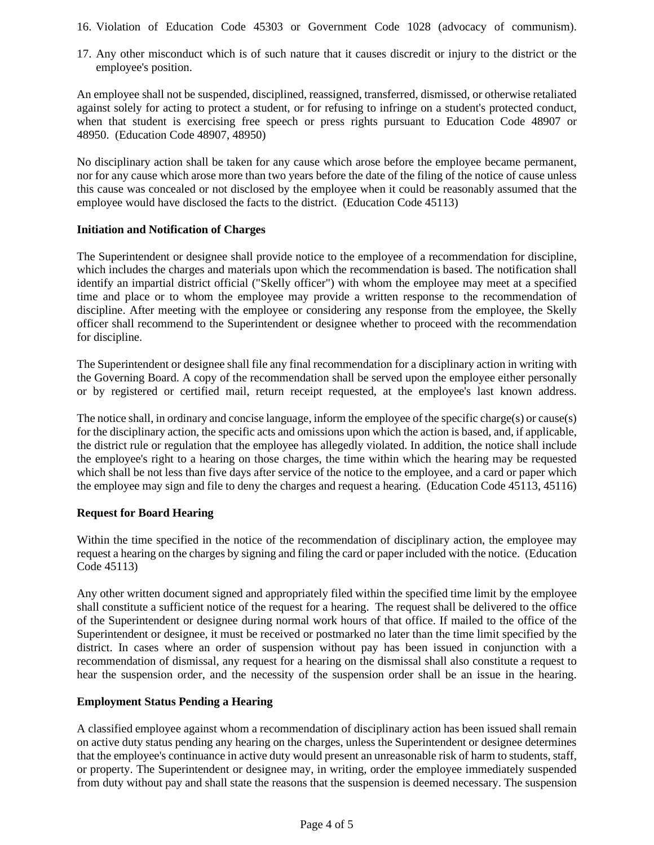- 16. Violation of Education Code 45303 or Government Code 1028 (advocacy of communism).
- 17. Any other misconduct which is of such nature that it causes discredit or injury to the district or the employee's position.

An employee shall not be suspended, disciplined, reassigned, transferred, dismissed, or otherwise retaliated against solely for acting to protect a student, or for refusing to infringe on a student's protected conduct, when that student is exercising free speech or press rights pursuant to Education Code 48907 or 48950. (Education Code 48907, 48950)

No disciplinary action shall be taken for any cause which arose before the employee became permanent, nor for any cause which arose more than two years before the date of the filing of the notice of cause unless this cause was concealed or not disclosed by the employee when it could be reasonably assumed that the employee would have disclosed the facts to the district. (Education Code 45113)

### **Initiation and Notification of Charges**

The Superintendent or designee shall provide notice to the employee of a recommendation for discipline, which includes the charges and materials upon which the recommendation is based. The notification shall identify an impartial district official ("Skelly officer") with whom the employee may meet at a specified time and place or to whom the employee may provide a written response to the recommendation of discipline. After meeting with the employee or considering any response from the employee, the Skelly officer shall recommend to the Superintendent or designee whether to proceed with the recommendation for discipline.

The Superintendent or designee shall file any final recommendation for a disciplinary action in writing with the Governing Board. A copy of the recommendation shall be served upon the employee either personally or by registered or certified mail, return receipt requested, at the employee's last known address.

The notice shall, in ordinary and concise language, inform the employee of the specific charge(s) or cause(s) for the disciplinary action, the specific acts and omissions upon which the action is based, and, if applicable, the district rule or regulation that the employee has allegedly violated. In addition, the notice shall include the employee's right to a hearing on those charges, the time within which the hearing may be requested which shall be not less than five days after service of the notice to the employee, and a card or paper which the employee may sign and file to deny the charges and request a hearing. (Education Code 45113, 45116)

## **Request for Board Hearing**

Within the time specified in the notice of the recommendation of disciplinary action, the employee may request a hearing on the charges by signing and filing the card or paper included with the notice. (Education Code 45113)

Any other written document signed and appropriately filed within the specified time limit by the employee shall constitute a sufficient notice of the request for a hearing. The request shall be delivered to the office of the Superintendent or designee during normal work hours of that office. If mailed to the office of the Superintendent or designee, it must be received or postmarked no later than the time limit specified by the district. In cases where an order of suspension without pay has been issued in conjunction with a recommendation of dismissal, any request for a hearing on the dismissal shall also constitute a request to hear the suspension order, and the necessity of the suspension order shall be an issue in the hearing.

#### **Employment Status Pending a Hearing**

A classified employee against whom a recommendation of disciplinary action has been issued shall remain on active duty status pending any hearing on the charges, unless the Superintendent or designee determines that the employee's continuance in active duty would present an unreasonable risk of harm to students, staff, or property. The Superintendent or designee may, in writing, order the employee immediately suspended from duty without pay and shall state the reasons that the suspension is deemed necessary. The suspension